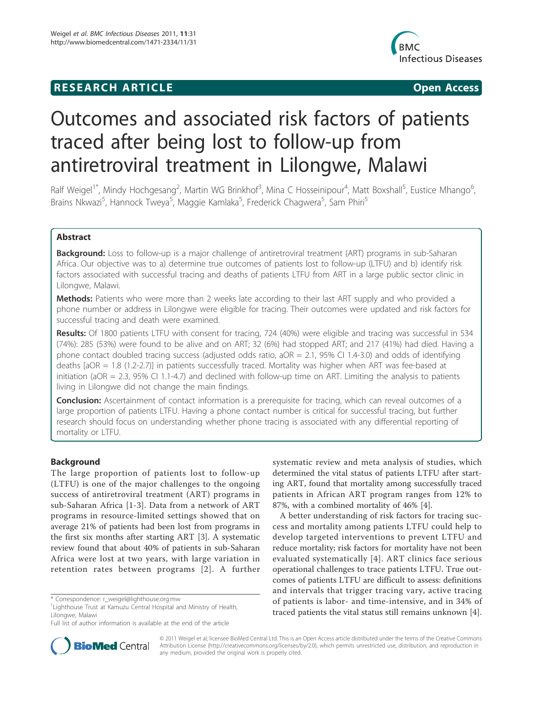## **RESEARCH ARTICLE Example 2018 CONSIDERING ACCESS**



# Outcomes and associated risk factors of patients traced after being lost to follow-up from antiretroviral treatment in Lilongwe, Malawi

Ralf Weigel<sup>1\*</sup>, Mindy Hochgesang<sup>2</sup>, Martin WG Brinkhof<sup>3</sup>, Mina C Hosseinipour<sup>4</sup>, Matt Boxshall<sup>5</sup>, Eustice Mhango<sup>6</sup> י<br>, Brains Nkwazi<sup>5</sup>, Hannock Tweya<sup>5</sup>, Maggie Kamlaka<sup>5</sup>, Frederick Chagwera<sup>5</sup>, Sam Phiri<sup>5</sup>

## Abstract

**Background:** Loss to follow-up is a major challenge of antiretroviral treatment (ART) programs in sub-Saharan Africa. Our objective was to a) determine true outcomes of patients lost to follow-up (LTFU) and b) identify risk factors associated with successful tracing and deaths of patients LTFU from ART in a large public sector clinic in Lilongwe, Malawi.

Methods: Patients who were more than 2 weeks late according to their last ART supply and who provided a phone number or address in Lilongwe were eligible for tracing. Their outcomes were updated and risk factors for successful tracing and death were examined.

Results: Of 1800 patients LTFU with consent for tracing, 724 (40%) were eligible and tracing was successful in 534 (74%): 285 (53%) were found to be alive and on ART; 32 (6%) had stopped ART; and 217 (41%) had died. Having a phone contact doubled tracing success (adjusted odds ratio, aOR = 2.1, 95% CI 1.4-3.0) and odds of identifying deaths [aOR = 1.8 (1.2-2.7)] in patients successfully traced. Mortality was higher when ART was fee-based at initiation (aOR = 2.3, 95% CI 1.1-4.7) and declined with follow-up time on ART. Limiting the analysis to patients living in Lilongwe did not change the main findings.

**Conclusion:** Ascertainment of contact information is a prerequisite for tracing, which can reveal outcomes of a large proportion of patients LTFU. Having a phone contact number is critical for successful tracing, but further research should focus on understanding whether phone tracing is associated with any differential reporting of mortality or LTFU.

## Background

The large proportion of patients lost to follow-up (LTFU) is one of the major challenges to the ongoing success of antiretroviral treatment (ART) programs in sub-Saharan Africa [1-3]. Data from a network of ART programs in resource-limited settings showed that on average 21% of patients had been lost from programs in the first six months after starting ART [3]. A systematic review found that about 40% of patients in sub-Saharan Africa were lost at two years, with large variation in retention rates between programs [2]. A further

systematic review and meta analysis of studies, which determined the vital status of patients LTFU after starting ART, found that mortality among successfully traced patients in African ART program ranges from 12% to 87%, with a combined mortality of 46% [4].

A better understanding of risk factors for tracing success and mortality among patients LTFU could help to develop targeted interventions to prevent LTFU and reduce mortality; risk factors for mortality have not been evaluated systematically [4]. ART clinics face serious operational challenges to trace patients LTFU. True outcomes of patients LTFU are difficult to assess: definitions and intervals that trigger tracing vary, active tracing of patients is labor- and time-intensive, and in 34% of traced patients the vital status still remains unknown [4].



© 2011 Weigel et al; licensee BioMed Central Ltd. This is an Open Access article distributed under the terms of the Creative Commons Attribution License (http://creativecommons.org/licenses/by/2.0), which permits unrestricted use, distribution, and reproduction in any medium, provided the original work is properly cited.

<sup>\*</sup> Correspondence: r\_weigel@lighthouse.org.mw

<sup>&</sup>lt;sup>1</sup> Lighthouse Trust at Kamuzu Central Hospital and Ministry of Health, Lilongwe, Malawi

Full list of author information is available at the end of the article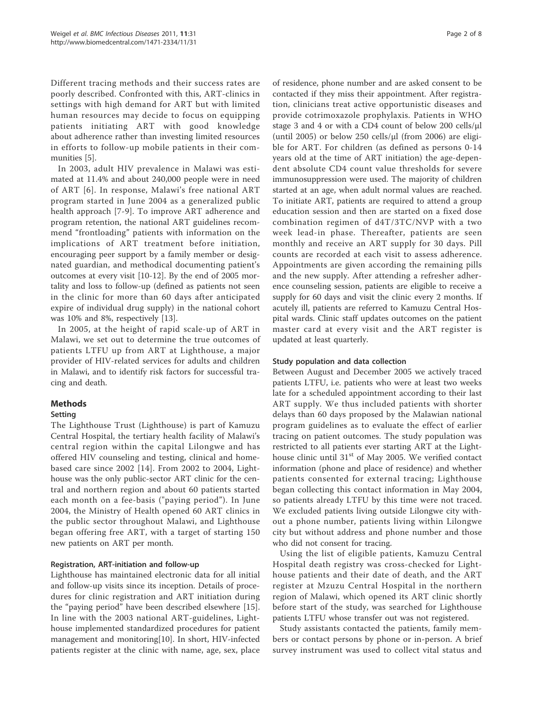Different tracing methods and their success rates are poorly described. Confronted with this, ART-clinics in settings with high demand for ART but with limited human resources may decide to focus on equipping patients initiating ART with good knowledge about adherence rather than investing limited resources in efforts to follow-up mobile patients in their communities [5].

In 2003, adult HIV prevalence in Malawi was estimated at 11.4% and about 240,000 people were in need of ART [6]. In response, Malawi's free national ART program started in June 2004 as a generalized public health approach [7-9]. To improve ART adherence and program retention, the national ART guidelines recommend "frontloading" patients with information on the implications of ART treatment before initiation, encouraging peer support by a family member or designated guardian, and methodical documenting patient's outcomes at every visit [10-12]. By the end of 2005 mortality and loss to follow-up (defined as patients not seen in the clinic for more than 60 days after anticipated expire of individual drug supply) in the national cohort was 10% and 8%, respectively [13].

In 2005, at the height of rapid scale-up of ART in Malawi, we set out to determine the true outcomes of patients LTFU up from ART at Lighthouse, a major provider of HIV-related services for adults and children in Malawi, and to identify risk factors for successful tracing and death.

## Methods

## Setting

The Lighthouse Trust (Lighthouse) is part of Kamuzu Central Hospital, the tertiary health facility of Malawi's central region within the capital Lilongwe and has offered HIV counseling and testing, clinical and homebased care since 2002 [14]. From 2002 to 2004, Lighthouse was the only public-sector ART clinic for the central and northern region and about 60 patients started each month on a fee-basis ("paying period"). In June 2004, the Ministry of Health opened 60 ART clinics in the public sector throughout Malawi, and Lighthouse began offering free ART, with a target of starting 150 new patients on ART per month.

## Registration, ART-initiation and follow-up

Lighthouse has maintained electronic data for all initial and follow-up visits since its inception. Details of procedures for clinic registration and ART initiation during the "paying period" have been described elsewhere [15]. In line with the 2003 national ART-guidelines, Lighthouse implemented standardized procedures for patient management and monitoring[10]. In short, HIV-infected patients register at the clinic with name, age, sex, place

of residence, phone number and are asked consent to be contacted if they miss their appointment. After registration, clinicians treat active opportunistic diseases and provide cotrimoxazole prophylaxis. Patients in WHO stage 3 and 4 or with a CD4 count of below 200 cells/μl (until 2005) or below 250 cells/μl (from 2006) are eligible for ART. For children (as defined as persons 0-14 years old at the time of ART initiation) the age-dependent absolute CD4 count value thresholds for severe immunosuppression were used. The majority of children started at an age, when adult normal values are reached. To initiate ART, patients are required to attend a group education session and then are started on a fixed dose combination regimen of d4T/3TC/NVP with a two week lead-in phase. Thereafter, patients are seen monthly and receive an ART supply for 30 days. Pill counts are recorded at each visit to assess adherence. Appointments are given according the remaining pills and the new supply. After attending a refresher adherence counseling session, patients are eligible to receive a supply for 60 days and visit the clinic every 2 months. If acutely ill, patients are referred to Kamuzu Central Hospital wards. Clinic staff updates outcomes on the patient master card at every visit and the ART register is updated at least quarterly.

## Study population and data collection

Between August and December 2005 we actively traced patients LTFU, i.e. patients who were at least two weeks late for a scheduled appointment according to their last ART supply. We thus included patients with shorter delays than 60 days proposed by the Malawian national program guidelines as to evaluate the effect of earlier tracing on patient outcomes. The study population was restricted to all patients ever starting ART at the Lighthouse clinic until  $31<sup>st</sup>$  of May 2005. We verified contact information (phone and place of residence) and whether patients consented for external tracing; Lighthouse began collecting this contact information in May 2004, so patients already LTFU by this time were not traced. We excluded patients living outside Lilongwe city without a phone number, patients living within Lilongwe city but without address and phone number and those who did not consent for tracing.

Using the list of eligible patients, Kamuzu Central Hospital death registry was cross-checked for Lighthouse patients and their date of death, and the ART register at Mzuzu Central Hospital in the northern region of Malawi, which opened its ART clinic shortly before start of the study, was searched for Lighthouse patients LTFU whose transfer out was not registered.

Study assistants contacted the patients, family members or contact persons by phone or in-person. A brief survey instrument was used to collect vital status and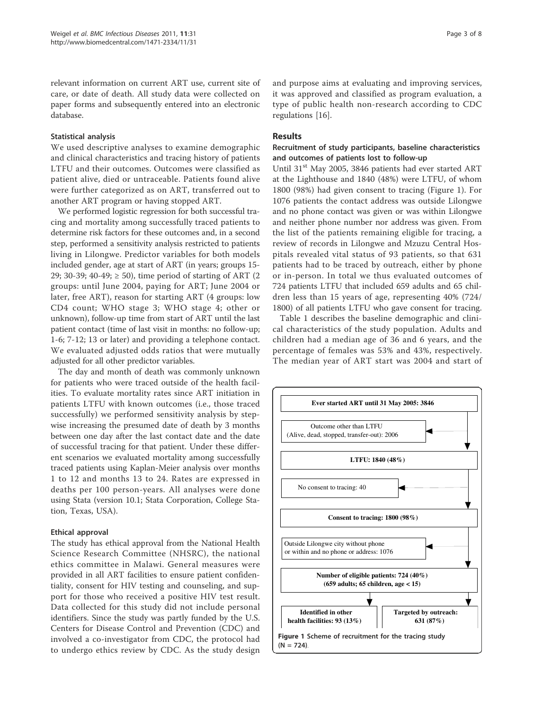relevant information on current ART use, current site of care, or date of death. All study data were collected on paper forms and subsequently entered into an electronic database.

#### Statistical analysis

We used descriptive analyses to examine demographic and clinical characteristics and tracing history of patients LTFU and their outcomes. Outcomes were classified as patient alive, died or untraceable. Patients found alive were further categorized as on ART, transferred out to another ART program or having stopped ART.

We performed logistic regression for both successful tracing and mortality among successfully traced patients to determine risk factors for these outcomes and, in a second step, performed a sensitivity analysis restricted to patients living in Lilongwe. Predictor variables for both models included gender, age at start of ART (in years; groups 15- 29; 30-39; 40-49; ≥ 50), time period of starting of ART (2 groups: until June 2004, paying for ART; June 2004 or later, free ART), reason for starting ART (4 groups: low CD4 count; WHO stage 3; WHO stage 4; other or unknown), follow-up time from start of ART until the last patient contact (time of last visit in months: no follow-up; 1-6; 7-12; 13 or later) and providing a telephone contact. We evaluated adjusted odds ratios that were mutually adjusted for all other predictor variables.

The day and month of death was commonly unknown for patients who were traced outside of the health facilities. To evaluate mortality rates since ART initiation in patients LTFU with known outcomes (i.e., those traced successfully) we performed sensitivity analysis by stepwise increasing the presumed date of death by 3 months between one day after the last contact date and the date of successful tracing for that patient. Under these different scenarios we evaluated mortality among successfully traced patients using Kaplan-Meier analysis over months 1 to 12 and months 13 to 24. Rates are expressed in deaths per 100 person-years. All analyses were done using Stata (version 10.1; Stata Corporation, College Station, Texas, USA).

## Ethical approval

The study has ethical approval from the National Health Science Research Committee (NHSRC), the national ethics committee in Malawi. General measures were provided in all ART facilities to ensure patient confidentiality, consent for HIV testing and counseling, and support for those who received a positive HIV test result. Data collected for this study did not include personal identifiers. Since the study was partly funded by the U.S. Centers for Disease Control and Prevention (CDC) and involved a co-investigator from CDC, the protocol had to undergo ethics review by CDC. As the study design and purpose aims at evaluating and improving services, it was approved and classified as program evaluation, a type of public health non-research according to CDC regulations [16].

#### Results

## Recruitment of study participants, baseline characteristics and outcomes of patients lost to follow-up

Until 31<sup>st</sup> May 2005, 3846 patients had ever started ART at the Lighthouse and 1840 (48%) were LTFU, of whom 1800 (98%) had given consent to tracing (Figure 1). For 1076 patients the contact address was outside Lilongwe and no phone contact was given or was within Lilongwe and neither phone number nor address was given. From the list of the patients remaining eligible for tracing, a review of records in Lilongwe and Mzuzu Central Hospitals revealed vital status of 93 patients, so that 631 patients had to be traced by outreach, either by phone or in-person. In total we thus evaluated outcomes of 724 patients LTFU that included 659 adults and 65 children less than 15 years of age, representing 40% (724/ 1800) of all patients LTFU who gave consent for tracing.

Table 1 describes the baseline demographic and clinical characteristics of the study population. Adults and children had a median age of 36 and 6 years, and the percentage of females was 53% and 43%, respectively. The median year of ART start was 2004 and start of

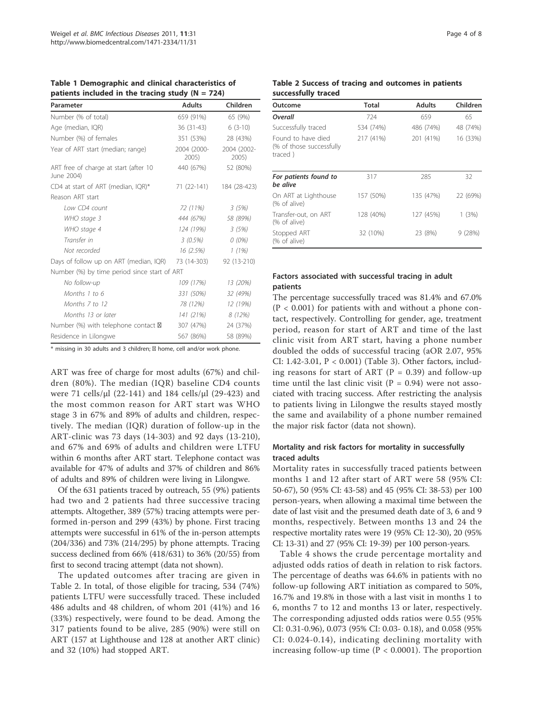| m                                                   |                      |                      |
|-----------------------------------------------------|----------------------|----------------------|
| Parameter                                           | <b>Adults</b>        | Children             |
| Number (% of total)                                 | 659 (91%)            | 65 (9%)              |
| Age (median, IQR)                                   | 36 (31-43)           | $6(3-10)$            |
| Number (%) of females                               | 351 (53%)            | 28 (43%)             |
| Year of ART start (median; range)                   | 2004 (2000-<br>2005) | 2004 (2002-<br>2005) |
| ART free of charge at start (after 10<br>June 2004) | 440 (67%)            | 52 (80%)             |
| CD4 at start of ART (median, IQR)*                  | 71 (22-141)          | 184 (28-423)         |
| Reason ART start                                    |                      |                      |
| Low CD4 count                                       | 72 (11%)             | 3(5%)                |
| WHO stage 3                                         | 444 (67%)            | 58 (89%)             |
| WHO stage 4                                         | 124 (19%)            | 3(5%)                |
| Transfer in                                         | 3 (0.5%)             | $O(0\%)$             |
| Not recorded                                        | 16 (2.5%)            | 1(1%)                |
| Days of follow up on ART (median, IQR)              | 73 (14-303)          | 92 (13-210)          |
| Number (%) by time period since start of ART        |                      |                      |
| No follow-up                                        | 109 (17%)            | 13 (20%)             |
| Months 1 to 6                                       | 331 (50%)            | 32 (49%)             |
| Months 7 to 12                                      | 78 (12%)             | 12 (19%)             |
| Months 13 or later                                  | 141 (21%)            | 8 (12%)              |
| Number $(\%)$ with telephone contact $\boxtimes$    | 307 (47%)            | 24 (37%)             |
| Residence in Lilongwe                               | 567 (86%)            | 58 (89%)             |

Table 1 Demographic and clinical characteristics of patients included in the tracing study  $(N - 724)$ 

\* missing in 30 adults and 3 children; ☎ home, cell and/or work phone.

ART was free of charge for most adults (67%) and children (80%). The median (IQR) baseline CD4 counts were 71 cells/μl (22-141) and 184 cells/μl (29-423) and the most common reason for ART start was WHO stage 3 in 67% and 89% of adults and children, respectively. The median (IQR) duration of follow-up in the ART-clinic was 73 days (14-303) and 92 days (13-210), and 67% and 69% of adults and children were LTFU within 6 months after ART start. Telephone contact was available for 47% of adults and 37% of children and 86% of adults and 89% of children were living in Lilongwe.

Of the 631 patients traced by outreach, 55 (9%) patients had two and 2 patients had three successive tracing attempts. Altogether, 389 (57%) tracing attempts were performed in-person and 299 (43%) by phone. First tracing attempts were successful in 61% of the in-person attempts (204/336) and 73% (214/295) by phone attempts. Tracing success declined from 66% (418/631) to 36% (20/55) from first to second tracing attempt (data not shown).

The updated outcomes after tracing are given in Table 2. In total, of those eligible for tracing, 534 (74%) patients LTFU were successfully traced. These included 486 adults and 48 children, of whom 201 (41%) and 16 (33%) respectively, were found to be dead. Among the 317 patients found to be alive, 285 (90%) were still on ART (157 at Lighthouse and 128 at another ART clinic) and 32 (10%) had stopped ART.

#### Page 4 of 8

#### Table 2 Success of tracing and outcomes in patients successfully traced

| Outcome                                                    | <b>Total</b> | <b>Adults</b> | Children |
|------------------------------------------------------------|--------------|---------------|----------|
| Overall                                                    | 724          | 659           | 65       |
| Successfully traced                                        | 534 (74%)    | 486 (74%)     | 48 (74%) |
| Found to have died<br>(% of those successfully)<br>traced) | 217 (41%)    | 201 (41%)     | 16 (33%) |
| For patients found to<br>be alive                          | 317          | 285           | 32       |
| On ART at Lighthouse<br>(% of alive)                       | 157 (50%)    | 135 (47%)     | 22 (69%) |
| Transfer-out, on ART<br>(% of alive)                       | 128 (40%)    | 127 (45%)     | 1(3%)    |
| Stopped ART<br>(% of alive)                                | 32 (10%)     | 23 (8%)       | 9(28%)   |

## Factors associated with successful tracing in adult patients

The percentage successfully traced was 81.4% and 67.0%  $(P < 0.001)$  for patients with and without a phone contact, respectively. Controlling for gender, age, treatment period, reason for start of ART and time of the last clinic visit from ART start, having a phone number doubled the odds of successful tracing (aOR 2.07, 95% CI: 1.42-3.01, P < 0.001) (Table 3). Other factors, including reasons for start of ART ( $P = 0.39$ ) and follow-up time until the last clinic visit ( $P = 0.94$ ) were not associated with tracing success. After restricting the analysis to patients living in Lilongwe the results stayed mostly the same and availability of a phone number remained the major risk factor (data not shown).

## Mortality and risk factors for mortality in successfully traced adults

Mortality rates in successfully traced patients between months 1 and 12 after start of ART were 58 (95% CI: 50-67), 50 (95% CI: 43-58) and 45 (95% CI: 38-53) per 100 person-years, when allowing a maximal time between the date of last visit and the presumed death date of 3, 6 and 9 months, respectively. Between months 13 and 24 the respective mortality rates were 19 (95% CI: 12-30), 20 (95% CI: 13-31) and 27 (95% CI: 19-39) per 100 person-years.

Table 4 shows the crude percentage mortality and adjusted odds ratios of death in relation to risk factors. The percentage of deaths was 64.6% in patients with no follow-up following ART initiation as compared to 50%, 16.7% and 19.8% in those with a last visit in months 1 to 6, months 7 to 12 and months 13 or later, respectively. The corresponding adjusted odds ratios were 0.55 (95% CI: 0.31-0.96), 0.073 (95% CI: 0.03- 0.18), and 0.058 (95% CI: 0.024-0.14), indicating declining mortality with increasing follow-up time ( $P < 0.0001$ ). The proportion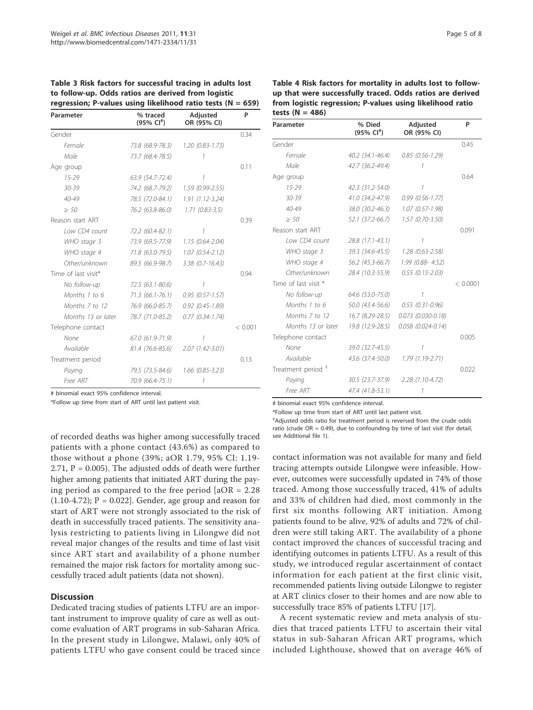| Parameter           | % traced<br>$(95\% \text{ Cl}^*)$ | <b>Adjusted</b><br>OR (95% CI) | P       |
|---------------------|-----------------------------------|--------------------------------|---------|
| Gender              |                                   |                                | 0.34    |
| Female              | 73.8 (68.9-78.3)                  | $1.20(0.83 - 1.73)$            |         |
| Male                | 73.7 (68.4-78.5)                  | 1                              |         |
| Age group           |                                   |                                | 0.11    |
| $15 - 29$           | $63.9(54.7-72.4)$                 | 1                              |         |
| 30-39               | 74.2 (68.7-79.2)                  | $1.59(0.99 - 2.55)$            |         |
| $40 - 49$           | 78.5 (72.0-84.1)                  | $1.91(1.12-3.24)$              |         |
| $\geq 50$           | 76.2 (63.8-86.0)                  | $1.71(0.83 - 3.5)$             |         |
| Reason start ART    |                                   |                                | 0.39    |
| Low CD4 count       | 72.2 (60.4-82.1)                  | 1                              |         |
| WHO stage 3         | 73.9 (69.5-77.9)                  | $1.15(0.64 - 2.04)$            |         |
| WHO stage 4         | 71.8 (63.0-79.5)                  | $1.07(0.54 - 2.12)$            |         |
| Other/unknown       | 89.5 (66.9-98.7)                  | $3.38$ (0.7-16.43)             |         |
| Time of last visit* |                                   |                                | 0.94    |
| No follow-up        | 72.5 (63.1-80.6)                  | 1                              |         |
| Months 1 to 6       | 71.3 (66.1-76.1)                  | $0.95(0.57 - 1.57)$            |         |
| Months 7 to 12      | 76.9 (66.0-85.7)                  | $0.92$ $(0.45 - 1.89)$         |         |
| Months 13 or later  | 78.7 (71.0-85.2)                  | $0.77$ $(0.34 - 1.74)$         |         |
| Telephone contact   |                                   |                                | < 0.001 |
| None                | 67.0 (61.9-71.9)                  | 1                              |         |
| Available           | 81.4 (76.6-85.6)                  | $2.07(1.42 - 3.01)$            |         |
| Treatment period    |                                   |                                | 0.13    |
| Paying              | 79.5 (73.5-84.6)                  | $1.66$ (0.85-3.23)             |         |
| Free ART            | 70.9 (66.4-75.1)                  | 1                              |         |

Table 3 Risk factors for successful tracing in adults lost to follow-up. Odds ratios are derived from logistic regression; P-values using likelihood ratio tests (N = 659)

# binomial exact 95% confidence interval.

\*Follow up time from start of ART until last patient visit.

of recorded deaths was higher among successfully traced patients with a phone contact (43.6%) as compared to those without a phone (39%; aOR 1.79, 95% CI: 1.19- 2.71,  $P = 0.005$ ). The adjusted odds of death were further higher among patients that initiated ART during the paying period as compared to the free period  $[aOR = 2.28]$  $(1.10-4.72)$ ;  $P = 0.022$ . Gender, age group and reason for start of ART were not strongly associated to the risk of death in successfully traced patients. The sensitivity analysis restricting to patients living in Lilongwe did not reveal major changes of the results and time of last visit since ART start and availability of a phone number remained the major risk factors for mortality among successfully traced adult patients (data not shown).

#### **Discussion**

Dedicated tracing studies of patients LTFU are an important instrument to improve quality of care as well as outcome evaluation of ART programs in sub-Saharan Africa. In the present study in Lilongwe, Malawi, only 40% of patients LTFU who gave consent could be traced since Table 4 Risk factors for mortality in adults lost to followup that were successfully traced. Odds ratios are derived from logistic regression; P-values using likelihood ratio tests  $(N = 486)$ 

| Parameter            | % Died<br>$(95\% \; \text{Cl}^+)$ | Adjusted<br>OR (95% CI)  | P        |
|----------------------|-----------------------------------|--------------------------|----------|
| Gender               |                                   |                          | 0.45     |
| Female               | $40.2$ $(34.1 - 46.4)$            | $0.85(0.56 - 1.29)$      |          |
| Male                 | 42.7 (36.2-49.4)                  | 1                        |          |
| Age group            |                                   |                          | 0.64     |
| $15 - 29$            | 42.3 (31.2-54.0)                  | 1                        |          |
| 30-39                | 41.0 (34.2-47.9)                  | $0.99(0.56 - 1.77)$      |          |
| $40 - 49$            | 38.0 (30.2-46.3)                  | $1.07(0.57 - 1.98)$      |          |
| $\geq 50$            | 52.1 (37.2-66.7)                  | $1.57$ (0.70-3.50)       |          |
| Reason start ART     |                                   |                          | 0.091    |
| Low CD4 count        | 28.8 (17.1-43.1)                  | 1                        |          |
| WHO stage 3          | 39.3 (34.6-45.5)                  | $1.28$ (0.63-2.58)       |          |
| WHO stage 4          | 56.2 (45.3-66.7)                  | 1.99 (0.88-4.52)         |          |
| Other/unknown        | 28.4 (10.3-55.9)                  | $0.55$ $(0.15 - 2.03)$   |          |
| Time of last visit * |                                   |                          | < 0.0001 |
| No follow-up         | 64.6 (53.0-75.0)                  | 1                        |          |
| Months 1 to 6        | 50.0 (43.4-56.6)                  | $0.55(0.31 - 0.96)$      |          |
| Months 7 to 12       | 16.7 (8.29-28.5)                  | $0.073$ $(0.030 - 0.18)$ |          |
| Months 13 or later   | 19.8 (12.9-28.5)                  | $0.058$ $(0.024 - 0.14)$ |          |
| Telephone contact    |                                   |                          | 0.005    |
| None                 | 39.0 (32.7-45.5)                  | 1                        |          |
| Available            | 43.6 (37.4-50.0)                  | 1.79 (1.19-2.71)         |          |
| Treatment period #   |                                   |                          | 0.022    |
| Paying               | 30.5 (23.7-37.9)                  | $2.28(1.10-4.72)$        |          |
| Free ART             | 47.4 (41.8-53.1)                  | 1                        |          |

# binomial exact 95% confidence interval.

\*Follow up time from start of ART until last patient visit.

‡ Adjusted odds ratio for treatment period is reversed from the crude odds ratio (crude  $OR = 0.49$ ), due to confounding by time of last visit (for detail, see Additional file 1).

contact information was not available for many and field tracing attempts outside Lilongwe were infeasible. However, outcomes were successfully updated in 74% of those traced. Among those successfully traced, 41% of adults and 33% of children had died, most commonly in the first six months following ART initiation. Among patients found to be alive, 92% of adults and 72% of children were still taking ART. The availability of a phone contact improved the chances of successful tracing and identifying outcomes in patients LTFU. As a result of this study, we introduced regular ascertainment of contact information for each patient at the first clinic visit, recommended patients living outside Lilongwe to register at ART clinics closer to their homes and are now able to successfully trace 85% of patients LTFU [17].

A recent systematic review and meta analysis of studies that traced patients LTFU to ascertain their vital status in sub-Saharan African ART programs, which included Lighthouse, showed that on average 46% of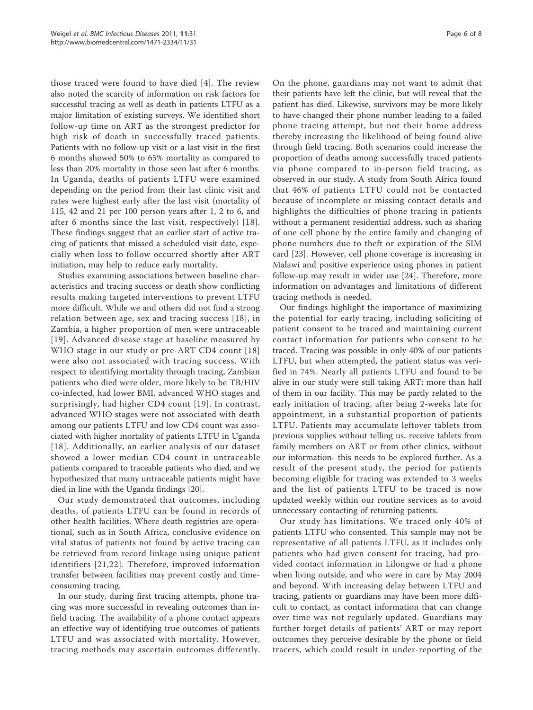those traced were found to have died [4]. The review also noted the scarcity of information on risk factors for successful tracing as well as death in patients LTFU as a major limitation of existing surveys. We identified short follow-up time on ART as the strongest predictor for high risk of death in successfully traced patients. Patients with no follow-up visit or a last visit in the first 6 months showed 50% to 65% mortality as compared to less than 20% mortality in those seen last after 6 months. In Uganda, deaths of patients LTFU were examined depending on the period from their last clinic visit and rates were highest early after the last visit (mortality of 115, 42 and 21 per 100 person years after 1, 2 to 6, and after 6 months since the last visit, respectively) [18]. These findings suggest that an earlier start of active tracing of patients that missed a scheduled visit date, especially when loss to follow occurred shortly after ART initiation, may help to reduce early mortality.

Studies examining associations between baseline characteristics and tracing success or death show conflicting results making targeted interventions to prevent LTFU more difficult. While we and others did not find a strong relation between age, sex and tracing success [18], in Zambia, a higher proportion of men were untraceable [19]. Advanced disease stage at baseline measured by WHO stage in our study or pre-ART CD4 count [18] were also not associated with tracing success. With respect to identifying mortality through tracing, Zambian patients who died were older, more likely to be TB/HIV co-infected, had lower BMI, advanced WHO stages and surprisingly, had higher CD4 count [19]. In contrast, advanced WHO stages were not associated with death among our patients LTFU and low CD4 count was associated with higher mortality of patients LTFU in Uganda [18]. Additionally, an earlier analysis of our dataset showed a lower median CD4 count in untraceable patients compared to traceable patients who died, and we hypothesized that many untraceable patients might have died in line with the Uganda findings [20].

Our study demonstrated that outcomes, including deaths, of patients LTFU can be found in records of other health facilities. Where death registries are operational, such as in South Africa, conclusive evidence on vital status of patients not found by active tracing can be retrieved from record linkage using unique patient identifiers [21,22]. Therefore, improved information transfer between facilities may prevent costly and timeconsuming tracing.

In our study, during first tracing attempts, phone tracing was more successful in revealing outcomes than infield tracing. The availability of a phone contact appears an effective way of identifying true outcomes of patients LTFU and was associated with mortality. However, tracing methods may ascertain outcomes differently.

On the phone, guardians may not want to admit that their patients have left the clinic, but will reveal that the patient has died. Likewise, survivors may be more likely to have changed their phone number leading to a failed phone tracing attempt, but not their home address thereby increasing the likelihood of being found alive through field tracing. Both scenarios could increase the proportion of deaths among successfully traced patients via phone compared to in-person field tracing, as observed in our study. A study from South Africa found that 46% of patients LTFU could not be contacted because of incomplete or missing contact details and highlights the difficulties of phone tracing in patients without a permanent residential address, such as sharing of one cell phone by the entire family and changing of phone numbers due to theft or expiration of the SIM card [23]. However, cell phone coverage is increasing in Malawi and positive experience using phones in patient follow-up may result in wider use [24]. Therefore, more information on advantages and limitations of different tracing methods is needed.

Our findings highlight the importance of maximizing the potential for early tracing, including soliciting of patient consent to be traced and maintaining current contact information for patients who consent to be traced. Tracing was possible in only 40% of our patients LTFU, but when attempted, the patient status was verified in 74%. Nearly all patients LTFU and found to be alive in our study were still taking ART; more than half of them in our facility. This may be partly related to the early initiation of tracing, after being 2-weeks late for appointment, in a substantial proportion of patients LTFU. Patients may accumulate leftover tablets from previous supplies without telling us, receive tablets from family members on ART or from other clinics, without our information- this needs to be explored further. As a result of the present study, the period for patients becoming eligible for tracing was extended to 3 weeks and the list of patients LTFU to be traced is now updated weekly within our routine services as to avoid unnecessary contacting of returning patients.

Our study has limitations. We traced only 40% of patients LTFU who consented. This sample may not be representative of all patients LTFU, as it includes only patients who had given consent for tracing, had provided contact information in Lilongwe or had a phone when living outside, and who were in care by May 2004 and beyond. With increasing delay between LTFU and tracing, patients or guardians may have been more difficult to contact, as contact information that can change over time was not regularly updated. Guardians may further forget details of patients' ART or may report outcomes they perceive desirable by the phone or field tracers, which could result in under-reporting of the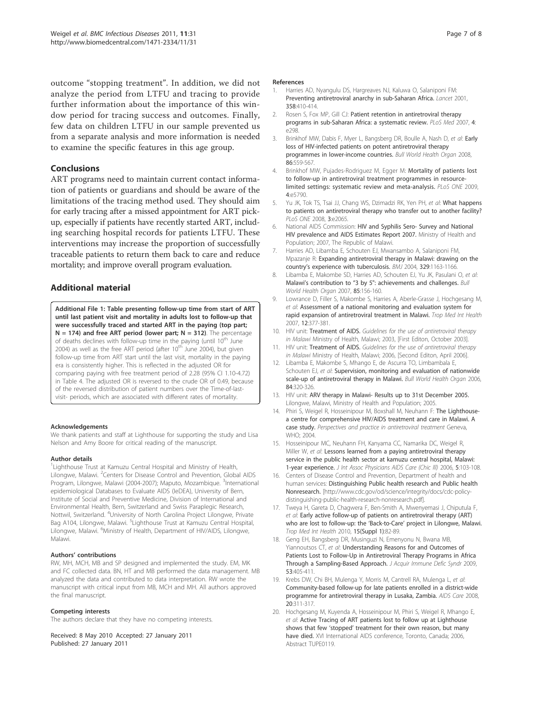outcome "stopping treatment". In addition, we did not analyze the period from LTFU and tracing to provide further information about the importance of this window period for tracing success and outcomes. Finally, few data on children LTFU in our sample prevented us from a separate analysis and more information is needed to examine the specific features in this age group.

## Conclusions

ART programs need to maintain current contact information of patients or guardians and should be aware of the limitations of the tracing method used. They should aim for early tracing after a missed appointment for ART pickup, especially if patients have recently started ART, including searching hospital records for patients LTFU. These interventions may increase the proportion of successfully traceable patients to return them back to care and reduce mortality; and improve overall program evaluation.

## Additional material

Additional File 1: Table presenting follow-up time from start of ART until last patient visit and mortality in adults lost to follow-up that were successfully traced and started ART in the paying (top part;  $N = 174$ ) and free ART period (lower part;  $N = 312$ ). The percentage of deaths declines with follow-up time in the paying (until 10<sup>th</sup> June 2004) as well as the free ART period (after  $10<sup>th</sup>$  June 2004), but given follow-up time from ART start until the last visit, mortality in the paying era is consistently higher. This is reflected in the adjusted OR for comparing paying with free treatment period of 2.28 (95% CI 1.10-4.72) in Table 4. The adjusted OR is reversed to the crude OR of 0.49, because of the reversed distribution of patient numbers over the Time-of-lastvisit- periods, which are associated with different rates of mortality.

#### Acknowledgements

We thank patients and staff at Lighthouse for supporting the study and Lisa Nelson and Amy Boore for critical reading of the manuscript.

#### Author details

<sup>1</sup> Lighthouse Trust at Kamuzu Central Hospital and Ministry of Health, Lilongwe, Malawi. <sup>2</sup>Centers for Disease Control and Prevention, Global AIDS Program, Lilongwe, Malawi (2004-2007); Maputo, Mozambique. <sup>3</sup>International epidemiological Databases to Evaluate AIDS (IeDEA), University of Bern, Institute of Social and Preventive Medicine, Division of International and Environmental Health, Bern, Switzerland and Swiss Paraplegic Research, Nottwil, Switzerland. <sup>4</sup>University of North Carolina Project Lilongwe, Private Bag A104, Lilongwe, Malawi. <sup>5</sup>Lighthouse Trust at Kamuzu Central Hospital, Lilongwe, Malawi. <sup>6</sup>Ministry of Health, Department of HIV/AIDS, Lilongwe, Malawi.

#### Authors' contributions

RW, MH, MCH, MB and SP designed and implemented the study. EM, MK and FC collected data. BN, HT and MB performed the data management. MB analyzed the data and contributed to data interpretation. RW wrote the manuscript with critical input from MB, MCH and MH. All authors approved the final manuscript.

#### Competing interests

The authors declare that they have no competing interests.

Received: 8 May 2010 Accepted: 27 January 2011 Published: 27 January 2011

#### References

- 1. Harries AD, Nyangulu DS, Hargreaves NJ, Kaluwa O, Salaniponi FM: Preventing antiretroviral anarchy in sub-Saharan Africa. Lancet 2001, 358:410-414.
- 2. Rosen S, Fox MP, Gill CJ: Patient retention in antiretroviral therapy programs in sub-Saharan Africa: a systematic review. PLoS Med 2007, 4: e298.
- 3. Brinkhof MW, Dabis F, Myer L, Bangsberg DR, Boulle A, Nash D, et al: Early loss of HIV-infected patients on potent antiretroviral therapy programmes in lower-income countries. Bull World Health Organ 2008, 86:559-567.
- 4. Brinkhof MW, Pujades-Rodriguez M, Egger M: Mortality of patients lost to follow-up in antiretroviral treatment programmes in resourcelimited settings: systematic review and meta-analysis. PLoS ONE 2009, 4:e5790.
- 5. Yu JK, Tok TS, Tsai JJ, Chang WS, Dzimadzi RK, Yen PH, et al: What happens to patients on antiretroviral therapy who transfer out to another facility? PLoS ONE 2008, 3:e2065.
- 6. National AIDS Commission: HIV and Syphilis Sero- Survey and National HIV prevalence and AIDS Estimates Report 2007. Ministry of Health and Population; 2007, The Republic of Malawi.
- 7. Harries AD, Libamba E, Schouten EJ, Mwansambo A, Salaniponi FM, Mpazanje R: Expanding antiretroviral therapy in Malawi: drawing on the country's experience with tuberculosis. BMJ 2004, 329:1163-1166.
- 8. Libamba E, Makombe SD, Harries AD, Schouten EJ, Yu JK, Pasulani O, et al: Malawi's contribution to "3 by 5": achievements and challenges. Bull World Health Organ 2007, 85:156-160.
- 9. Lowrance D, Filler S, Makombe S, Harries A, Aberle-Grasse J, Hochgesang M, et al: Assessment of a national monitoring and evaluation system for rapid expansion of antiretroviral treatment in Malawi. Trop Med Int Health 2007, 12:377-381.
- 10. HIV unit: Treatment of AIDS. Guidelines for the use of antiretroviral therapy in Malawi Ministry of Health, Malawi; 2003, [First Editon, October 2003].
- 11. HIV unit: Treatment of AIDS. Guidelines for the use of antiretroviral therapy in Malawi Ministry of Health, Malawi; 2006, [Second Editon, April 2006].
- 12. Libamba E, Makombe S, Mhango E, de Ascurra TO, Limbambala E, Schouten EJ, et al: Supervision, monitoring and evaluation of nationwide scale-up of antiretroviral therapy in Malawi. Bull World Health Organ 2006, 84:320-326.
- 13. HIV unit: ARV therapy in Malawi- Results up to 31st December 2005. Lilongwe, Malawi, Ministry of Health and Population; 2005.
- 14. Phiri S, Weigel R, Hosseinipour M, Boxshall M, Neuhann F: The Lighthousea centre for comprehensive HIV/AIDS treatment and care in Malawi. A case study. Perspectives and practice in antiretroviral treatment Geneva, WHO; 2004.
- 15. Hosseinipour MC, Neuhann FH, Kanyama CC, Namarika DC, Weigel R, Miller W, et al: Lessons learned from a paying antiretroviral therapy service in the public health sector at kamuzu central hospital, Malawi: 1-year experience. J Int Assoc Physicians AIDS Care (Chic III) 2006, 5:103-108.
- 16. Centers of Disease Control and Prevention, Department of health and human services: Distinguishing Public health research and Public health Nonresearch. [http://www.cdc.gov/od/science/integrity/docs/cdc-policydistinguishing-public-health-research-nonresearch.pdf].
- 17. Tweya H, Gareta D, Chagwera F, Ben-Smith A, Mwenyemasi J, Chiputula F, et al: Early active follow-up of patients on antiretroviral therapy (ART) who are lost to follow-up: the 'Back-to-Care' project in Lilongwe, Malawi. Trop Med Int Health 2010, 15(Suppl 1):82-89.
- 18. Geng EH, Bangsberg DR, Musinguzi N, Emenyonu N, Bwana MB, Yiannoutsos CT, et al: Understanding Reasons for and Outcomes of Patients Lost to Follow-Up in Antiretroviral Therapy Programs in Africa Through a Sampling-Based Approach. J Acquir Immune Defic Syndr 2009, 53:405-411.
- 19. Krebs DW, Chi BH, Mulenga Y, Morris M, Cantrell RA, Mulenga L, et al: Community-based follow-up for late patients enrolled in a district-wide programme for antiretroviral therapy in Lusaka, Zambia. AIDS Care 2008, 20:311-317.
- 20. Hochgesang M, Kuyenda A, Hosseinipour M, Phiri S, Weigel R, Mhango E, et al: Active Tracing of ART patients lost to follow up at Lighthouse shows that few 'stopped' treatment for their own reason, but many have died. XVI International AIDS conference, Toronto, Canada; 2006, Abstract TUPE0119.